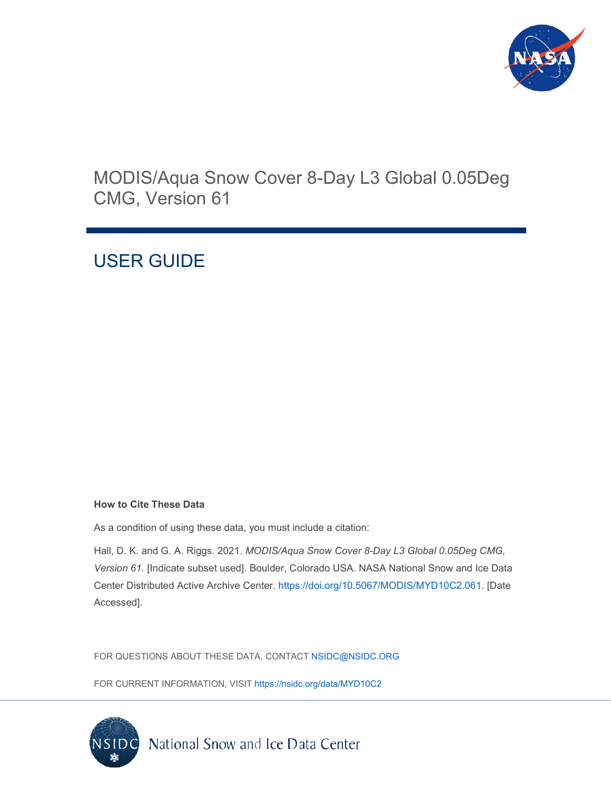

# MODIS/Aqua Snow Cover 8-Day L3 Global 0.05Deg CMG, Version 61

# USER GUIDE

#### **How to Cite These Data**

As a condition of using these data, you must include a citation:

Hall, D. K. and G. A. Riggs. 2021. *MODIS/Aqua Snow Cover 8-Day L3 Global 0.05Deg CMG, Version 61.* [Indicate subset used]. Boulder, Colorado USA. NASA National Snow and Ice Data Center Distributed Active Archive Center. [https://doi.org/10.5067/MODIS/MYD10C2.061.](https://doi.org/10.5067/MODIS/MYD10C2.061) [Date Accessed].

FOR QUESTIONS ABOUT THESE DATA, CONTACT [NSIDC@NSIDC.ORG](mailto:nsidc@nsidc.org)

FOR CURRENT INFORMATION, VISIT<https://nsidc.org/data/MYD10C2>

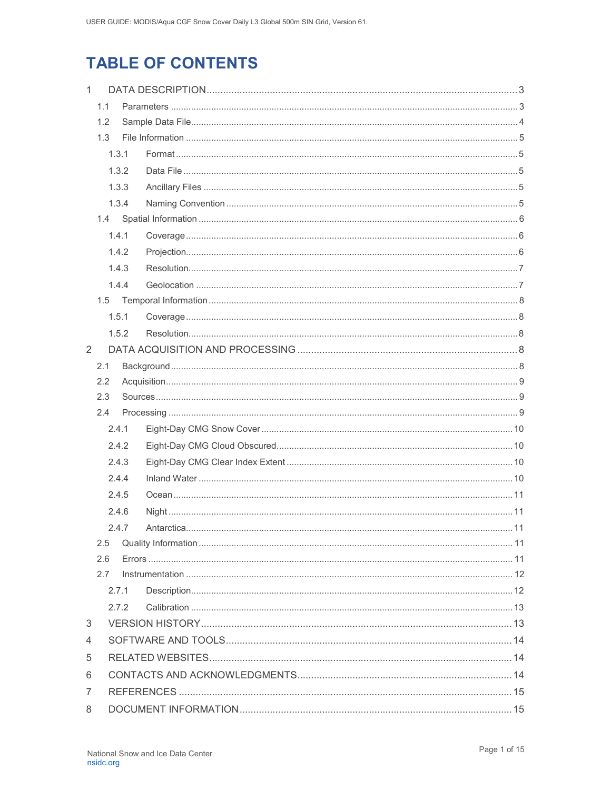# **TABLE OF CONTENTS**

| $\mathbf{1}$ |       |       |  |  |  |
|--------------|-------|-------|--|--|--|
| 1.1          |       |       |  |  |  |
|              | 1.2   |       |  |  |  |
|              | 1.3   |       |  |  |  |
|              |       | 1.3.1 |  |  |  |
|              |       | 1.3.2 |  |  |  |
|              |       | 1.3.3 |  |  |  |
|              |       | 1.3.4 |  |  |  |
|              |       |       |  |  |  |
|              |       | 1.4.1 |  |  |  |
|              |       | 1.4.2 |  |  |  |
|              |       | 1.4.3 |  |  |  |
|              |       | 1.4.4 |  |  |  |
|              |       |       |  |  |  |
|              |       | 1.5.1 |  |  |  |
|              |       | 1.5.2 |  |  |  |
| 2            |       |       |  |  |  |
| 2.1          |       |       |  |  |  |
| 2.2<br>2.3   |       |       |  |  |  |
|              |       |       |  |  |  |
|              | 2.4   |       |  |  |  |
|              | 2.4.1 |       |  |  |  |
|              |       | 2.4.2 |  |  |  |
|              |       | 2.4.3 |  |  |  |
|              |       | 2.4.4 |  |  |  |
|              |       | 2.4.5 |  |  |  |
|              |       | 2.4.6 |  |  |  |
|              |       | 2.4.7 |  |  |  |
|              | 2.5   |       |  |  |  |
|              | 2.6   |       |  |  |  |
|              | 2.7   |       |  |  |  |
|              |       | 2.7.1 |  |  |  |
|              |       | 272   |  |  |  |
| 3            |       |       |  |  |  |
| 4            |       |       |  |  |  |
| 5            |       |       |  |  |  |
| 6            |       |       |  |  |  |
| 7            |       |       |  |  |  |
| 8            |       |       |  |  |  |
|              |       |       |  |  |  |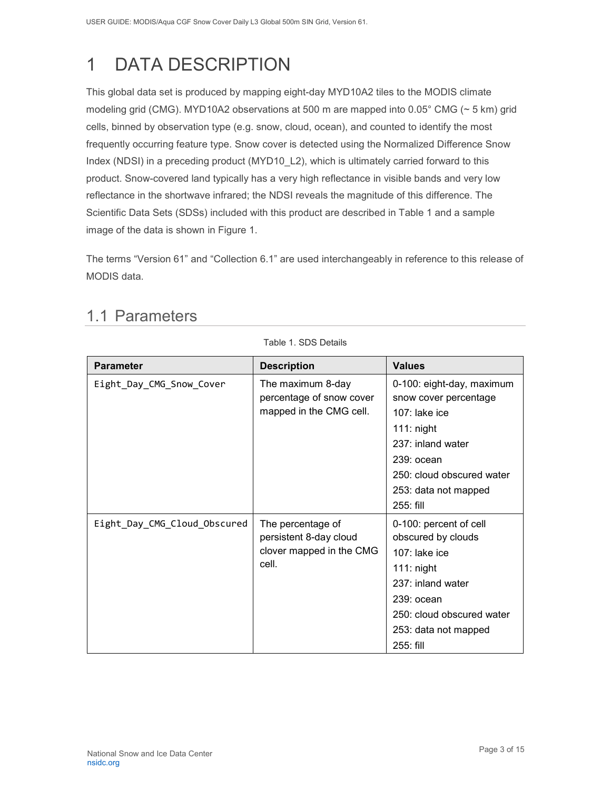# <span id="page-3-0"></span>1 DATA DESCRIPTION

This global data set is produced by mapping eight-day MYD10A2 tiles to the MODIS climate modeling grid (CMG). MYD10A2 observations at 500 m are mapped into 0.05° CMG (~ 5 km) grid cells, binned by observation type (e.g. snow, cloud, ocean), and counted to identify the most frequently occurring feature type. Snow cover is detected using the Normalized Difference Snow Index (NDSI) in a preceding product (MYD10\_L2), which is ultimately carried forward to this product. Snow-covered land typically has a very high reflectance in visible bands and very low reflectance in the shortwave infrared; the NDSI reveals the magnitude of this difference. The Scientific Data Sets (SDSs) included with this product are described in Table 1 and a sample image of the data is shown in Figure 1.

<span id="page-3-1"></span>The terms "Version 61" and "Collection 6.1" are used interchangeably in reference to this release of MODIS data.

Table 1. SDS Details

| <b>Parameter</b>             | <b>Description</b>                                                               | <b>Values</b>                                                                                                                                                                                 |
|------------------------------|----------------------------------------------------------------------------------|-----------------------------------------------------------------------------------------------------------------------------------------------------------------------------------------------|
| Eight_Day_CMG_Snow_Cover     | The maximum 8-day<br>percentage of snow cover<br>mapped in the CMG cell.         | 0-100: eight-day, maximum<br>snow cover percentage<br>$107$ : lake ice<br>$111:$ night<br>237: inland water<br>$239:$ ocean<br>250: cloud obscured water<br>253: data not mapped<br>255: fill |
| Eight_Day_CMG_Cloud_Obscured | The percentage of<br>persistent 8-day cloud<br>clover mapped in the CMG<br>cell. | 0-100: percent of cell<br>obscured by clouds<br>$107$ : lake ice<br>$111:$ night<br>237: inland water<br>$239:$ ocean<br>250: cloud obscured water<br>253: data not mapped<br>255: fill       |

# 1.1 Parameters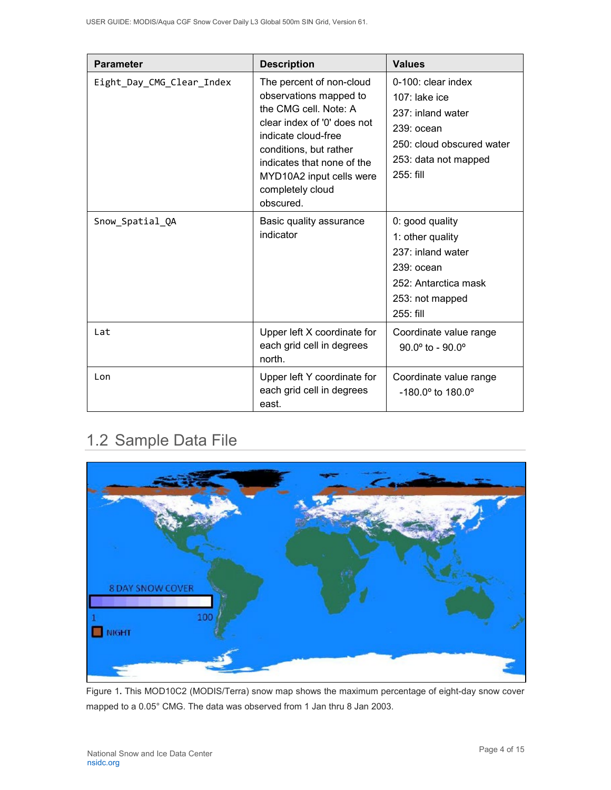| <b>Parameter</b>          | <b>Description</b>                                                                                                                                                                                                                                     | <b>Values</b>                                                                                                                                  |
|---------------------------|--------------------------------------------------------------------------------------------------------------------------------------------------------------------------------------------------------------------------------------------------------|------------------------------------------------------------------------------------------------------------------------------------------------|
| Eight_Day_CMG_Clear_Index | The percent of non-cloud<br>observations mapped to<br>the CMG cell. Note: A<br>clear index of '0' does not<br>indicate cloud-free<br>conditions, but rather<br>indicates that none of the<br>MYD10A2 input cells were<br>completely cloud<br>obscured. | $0-100$ : clear index<br>$107$ : lake ice<br>237: inland water<br>239: ocean<br>250: cloud obscured water<br>253: data not mapped<br>255: fill |
| Snow_Spatial_QA           | Basic quality assurance<br>indicator                                                                                                                                                                                                                   | 0: good quality<br>1: other quality<br>237: inland water<br>239: ocean<br>252: Antarctica mask<br>253: not mapped<br>$255:$ fill               |
| Lat                       | Upper left X coordinate for<br>each grid cell in degrees<br>north.                                                                                                                                                                                     | Coordinate value range<br>$90.0^{\circ}$ to - $90.0^{\circ}$                                                                                   |
| Lon                       | Upper left Y coordinate for<br>each grid cell in degrees<br>east.                                                                                                                                                                                      | Coordinate value range<br>$-180.0^{\circ}$ to $180.0^{\circ}$                                                                                  |

# <span id="page-4-0"></span>1.2 Sample Data File



Figure 1**.** This MOD10C2 (MODIS/Terra) snow map shows the maximum percentage of eight-day snow cover mapped to a 0.05° CMG. The data was observed from 1 Jan thru 8 Jan 2003.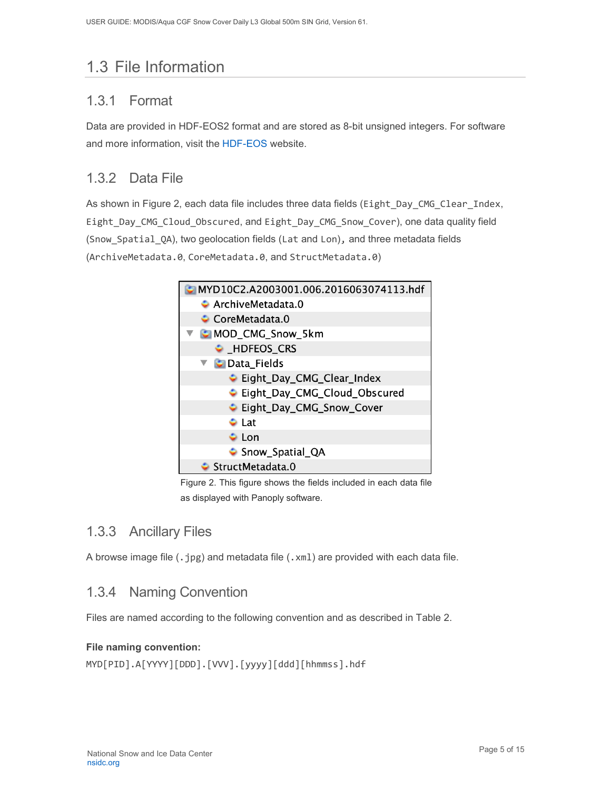# <span id="page-5-0"></span>1.3 File Information

### <span id="page-5-1"></span>1.3.1 Format

Data are provided in HDF-EOS2 format and are stored as 8-bit unsigned integers. For software and more information, visit the [HDF-EOS](https://portal.hdfgroup.org/display/support) website.

### <span id="page-5-2"></span>1.3.2 Data File

As shown in Figure 2, each data file includes three data fields (Eight\_Day\_CMG\_Clear\_Index, Eight\_Day\_CMG\_Cloud\_Obscured, and Eight\_Day\_CMG\_Snow\_Cover), one data quality field (Snow\_Spatial\_QA), two geolocation fields (Lat and Lon), and three metadata fields (ArchiveMetadata.0, CoreMetadata.0, and StructMetadata.0)



Figure 2. This figure shows the fields included in each data file as displayed with Panoply software.

### <span id="page-5-3"></span>1.3.3 Ancillary Files

A browse image file  $(.jpg)$  and metadata file  $(.xm1)$  are provided with each data file.

### <span id="page-5-4"></span>1.3.4 Naming Convention

Files are named according to the following convention and as described in Table 2.

#### **File naming convention:**

MYD[PID].A[YYYY][DDD].[VVV].[yyyy][ddd][hhmmss].hdf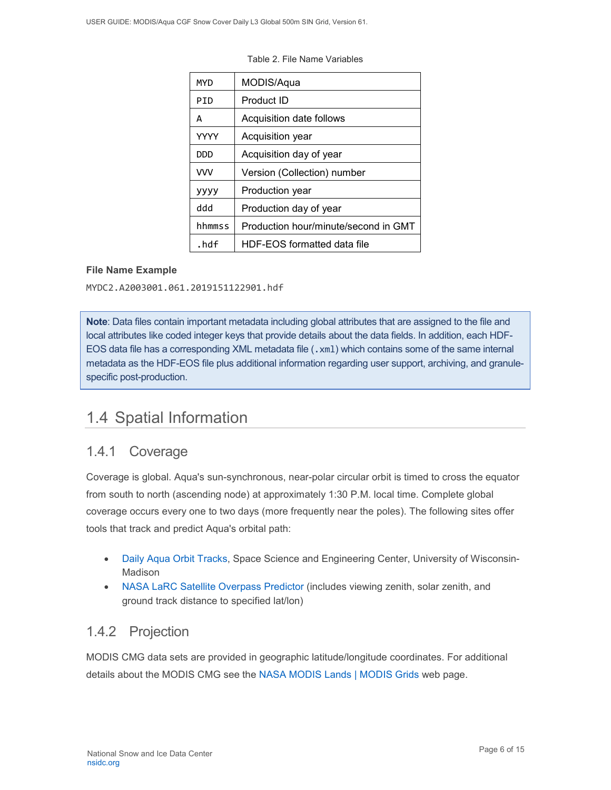| MYD         | MODIS/Aqua                           |  |  |  |
|-------------|--------------------------------------|--|--|--|
| PTD         | Product ID                           |  |  |  |
| A           | Acquisition date follows             |  |  |  |
| <b>YYYY</b> | Acquisition year                     |  |  |  |
| DDD         | Acquisition day of year              |  |  |  |
| <b>VVV</b>  | Version (Collection) number          |  |  |  |
| уууу        | Production year                      |  |  |  |
| hbb         | Production day of year               |  |  |  |
| hhmmss      | Production hour/minute/second in GMT |  |  |  |
| .hdf        | HDF-EOS formatted data file          |  |  |  |

Table 2. File Name Variables

#### **File Name Example**

MYDC2.A2003001.061.2019151122901.hdf

**Note**: Data files contain important metadata including global attributes that are assigned to the file and local attributes like coded integer keys that provide details about the data fields. In addition, each HDF-EOS data file has a corresponding XML metadata file (.xml) which contains some of the same internal metadata as the HDF-EOS file plus additional information regarding user support, archiving, and granulespecific post-production.

## <span id="page-6-0"></span>1.4 Spatial Information

### <span id="page-6-1"></span>1.4.1 Coverage

Coverage is global. Aqua's sun-synchronous, near-polar circular orbit is timed to cross the equator from south to north (ascending node) at approximately 1:30 P.M. local time. Complete global coverage occurs every one to two days (more frequently near the poles). The following sites offer tools that track and predict Aqua's orbital path:

- [Daily Aqua](http://www.ssec.wisc.edu/datacenter/aqua/GLOBAL.html) Orbit Tracks, Space Science and Engineering Center, University of Wisconsin-Madison
- [NASA LaRC Satellite Overpass Predictor](https://cloudsway2.larc.nasa.gov/cgi-bin/predict/predict.cgi) (includes viewing zenith, solar zenith, and ground track distance to specified lat/lon)

### <span id="page-6-2"></span>1.4.2 Projection

MODIS CMG data sets are provided in geographic latitude/longitude coordinates. For additional details about the MODIS CMG see the [NASA MODIS Lands | MODIS Grids](https://modis-land.gsfc.nasa.gov/MODLAND_grid.html) web page.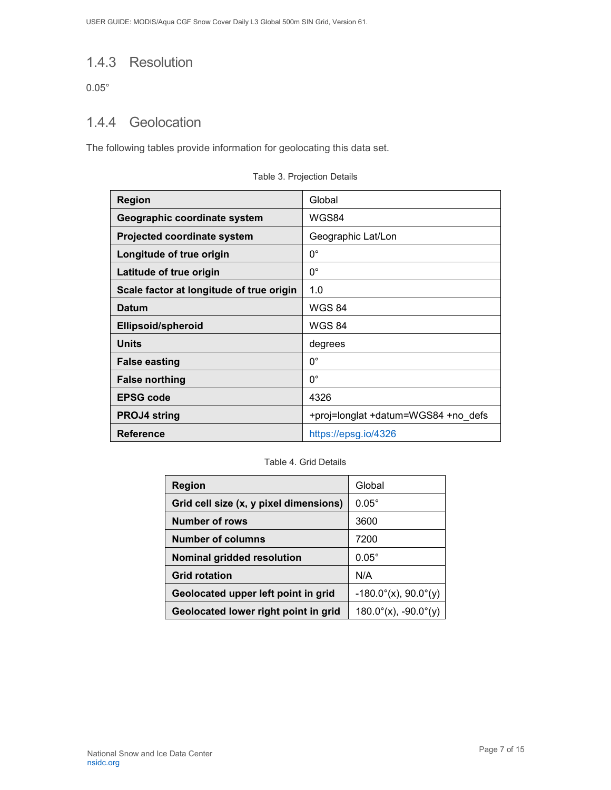### <span id="page-7-0"></span>1.4.3 Resolution

0.05°

### <span id="page-7-1"></span>1.4.4 Geolocation

The following tables provide information for geolocating this data set.

| <b>Region</b>                            | Global                              |
|------------------------------------------|-------------------------------------|
| Geographic coordinate system             | WGS84                               |
| <b>Projected coordinate system</b>       | Geographic Lat/Lon                  |
| Longitude of true origin                 | $0^{\circ}$                         |
| Latitude of true origin                  | $0^{\circ}$                         |
| Scale factor at longitude of true origin | 1.0                                 |
| <b>Datum</b>                             | <b>WGS 84</b>                       |
| <b>Ellipsoid/spheroid</b>                | <b>WGS 84</b>                       |
| <b>Units</b>                             | degrees                             |
| <b>False easting</b>                     | $0^{\circ}$                         |
| <b>False northing</b>                    | $0^{\circ}$                         |
| <b>EPSG code</b>                         | 4326                                |
| <b>PROJ4 string</b>                      | +proj=longlat +datum=WGS84 +no defs |
| <b>Reference</b>                         | https://epsg.io/4326                |

Table 3. Projection Details

#### Table 4. Grid Details

| Region                                 | Global                         |
|----------------------------------------|--------------------------------|
| Grid cell size (x, y pixel dimensions) | $0.05^\circ$                   |
| <b>Number of rows</b>                  | 3600                           |
| <b>Number of columns</b>               | 7200                           |
| <b>Nominal gridded resolution</b>      | $0.05^\circ$                   |
| <b>Grid rotation</b>                   | N/A                            |
| Geolocated upper left point in grid    | $-180.0^{\circ}$ (x), 90.0°(y) |
| Geolocated lower right point in grid   | $180.0^{\circ}$ (x), -90.0°(y) |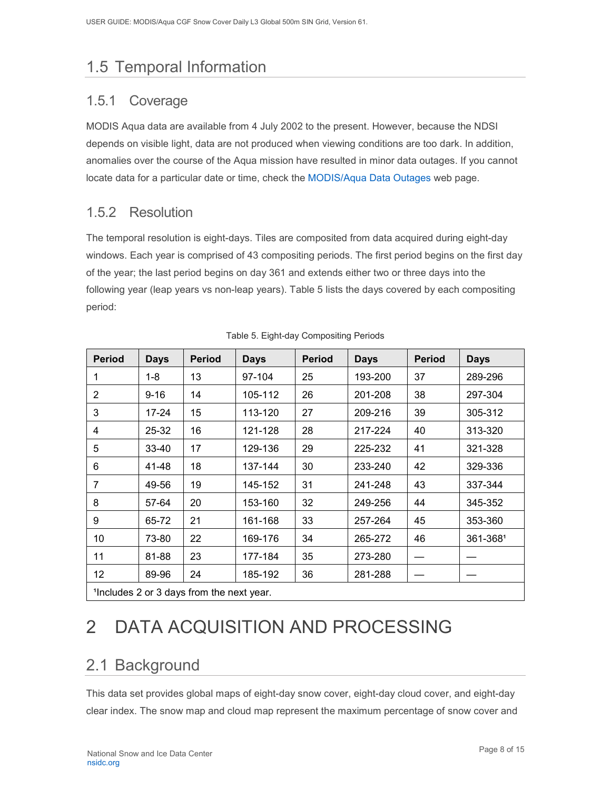# <span id="page-8-0"></span>1.5 Temporal Information

### <span id="page-8-1"></span>1.5.1 Coverage

MODIS Aqua data are available from 4 July 2002 to the present. However, because the NDSI depends on visible light, data are not produced when viewing conditions are too dark. In addition, anomalies over the course of the Aqua mission have resulted in minor data outages. If you cannot locate data for a particular date or time, check the MODIS/Aqua [Data Outages](https://modaps.modaps.eosdis.nasa.gov/services/production/outages_aqua.html) web page.

### <span id="page-8-2"></span>1.5.2 Resolution

The temporal resolution is eight-days. Tiles are composited from data acquired during eight-day windows. Each year is comprised of 43 compositing periods. The first period begins on the first day of the year; the last period begins on day 361 and extends either two or three days into the following year (leap years vs non-leap years). Table 5 lists the days covered by each compositing period:

| <b>Period</b>  | <b>Days</b>                              | <b>Period</b> | <b>Days</b> | <b>Period</b> | <b>Days</b> | <b>Period</b> | <b>Days</b> |
|----------------|------------------------------------------|---------------|-------------|---------------|-------------|---------------|-------------|
| 1              | $1 - 8$                                  | 13            | 97-104      | 25            | 193-200     | 37            | 289-296     |
| $\overline{2}$ | $9 - 16$                                 | 14            | 105-112     | 26            | 201-208     | 38            | 297-304     |
| 3              | 17-24                                    | 15            | 113-120     | 27            | 209-216     | 39            | 305-312     |
| 4              | 25-32                                    | 16            | 121-128     | 28            | 217-224     | 40            | 313-320     |
| 5              | 33-40                                    | 17            | 129-136     | 29            | 225-232     | 41            | 321-328     |
| 6              | 41-48                                    | 18            | 137-144     | 30            | 233-240     | 42            | 329-336     |
| 7              | 49-56                                    | 19            | 145-152     | 31            | 241-248     | 43            | 337-344     |
| 8              | 57-64                                    | 20            | 153-160     | 32            | 249-256     | 44            | 345-352     |
| 9              | 65-72                                    | 21            | 161-168     | 33            | 257-264     | 45            | 353-360     |
| 10             | 73-80                                    | 22            | 169-176     | 34            | 265-272     | 46            | 361-3681    |
| 11             | 81-88                                    | 23            | 177-184     | 35            | 273-280     |               |             |
| 12             | 89-96                                    | 24            | 185-192     | 36            | 281-288     |               |             |
|                | 1Includes 2 or 3 days from the next year |               |             |               |             |               |             |

| Table 5. Eight-day Compositing Periods |  |  |
|----------------------------------------|--|--|

<span id="page-8-3"></span>¹Includes 2 or 3 days from the next year.

# 2 DATA ACQUISITION AND PROCESSING

## <span id="page-8-4"></span>2.1 Background

This data set provides global maps of eight-day snow cover, eight-day cloud cover, and eight-day clear index. The snow map and cloud map represent the maximum percentage of snow cover and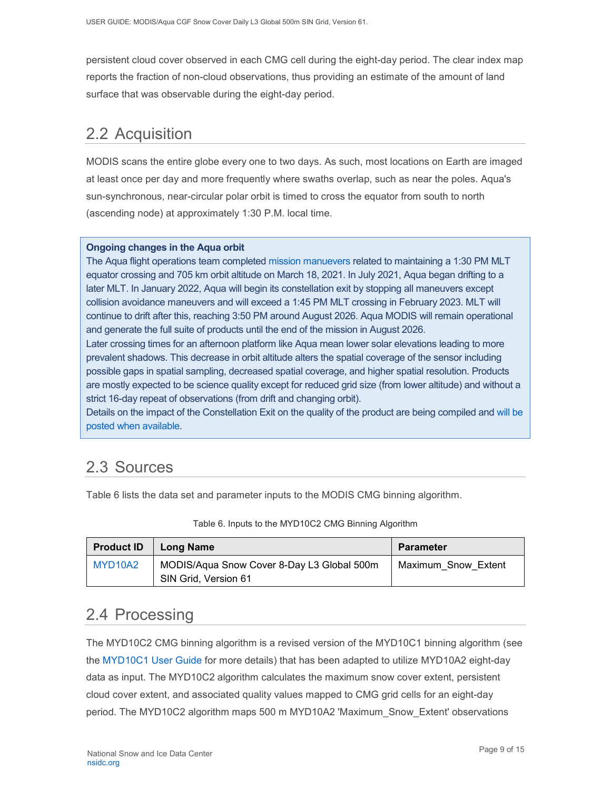persistent cloud cover observed in each CMG cell during the eight-day period. The clear index map reports the fraction of non-cloud observations, thus providing an estimate of the amount of land surface that was observable during the eight-day period.

## <span id="page-9-0"></span>2.2 Acquisition

MODIS scans the entire globe every one to two days. As such, most locations on Earth are imaged at least once per day and more frequently where swaths overlap, such as near the poles. Aqua's sun-synchronous, near-circular polar orbit is timed to cross the equator from south to north (ascending node) at approximately 1:30 P.M. local time.

#### **Ongoing changes in the Aqua orbit**

The Aqua flight operations team completed [mission manuevers](https://modis.gsfc.nasa.gov/news/individual.php?news_id=100389) related to maintaining a 1:30 PM MLT equator crossing and 705 km orbit altitude on March 18, 2021. In July 2021, Aqua began drifting to a later MLT. In January 2022, Aqua will begin its constellation exit by stopping all maneuvers except collision avoidance maneuvers and will exceed a 1:45 PM MLT crossing in February 2023. MLT will continue to drift after this, reaching 3:50 PM around August 2026. Aqua MODIS will remain operational and generate the full suite of products until the end of the mission in August 2026.

Later crossing times for an afternoon platform like Aqua mean lower solar elevations leading to more prevalent shadows. This decrease in orbit altitude alters the spatial coverage of the sensor including possible gaps in spatial sampling, decreased spatial coverage, and higher spatial resolution. Products are mostly expected to be science quality except for reduced grid size (from lower altitude) and without a strict 16-day repeat of observations (from drift and changing orbit).

Details on the impact of the Constellation Exit on the quality of the product are being compiled and [will be](https://landweb.modaps.eosdis.nasa.gov/cgi-bin/QS/new/index.cgi)  [posted when available.](https://landweb.modaps.eosdis.nasa.gov/cgi-bin/QS/new/index.cgi)

## <span id="page-9-1"></span>2.3 Sources

Table 6 lists the data set and parameter inputs to the MODIS CMG binning algorithm.

| <b>Product ID</b> | Long Name                                                          | Parameter           |
|-------------------|--------------------------------------------------------------------|---------------------|
| MYD10A2           | MODIS/Aqua Snow Cover 8-Day L3 Global 500m<br>SIN Grid, Version 61 | Maximum Snow Extent |

#### Table 6. Inputs to the MYD10C2 CMG Binning Algorithm

## <span id="page-9-2"></span>2.4 Processing

The MYD10C2 CMG binning algorithm is a revised version of the MYD10C1 binning algorithm (see the [MYD10C1 User Guide](https://nsidc.org/data/MYD10C1) for more details) that has been adapted to utilize MYD10A2 eight-day data as input. The MYD10C2 algorithm calculates the maximum snow cover extent, persistent cloud cover extent, and associated quality values mapped to CMG grid cells for an eight-day period. The MYD10C2 algorithm maps 500 m MYD10A2 'Maximum\_Snow\_Extent' observations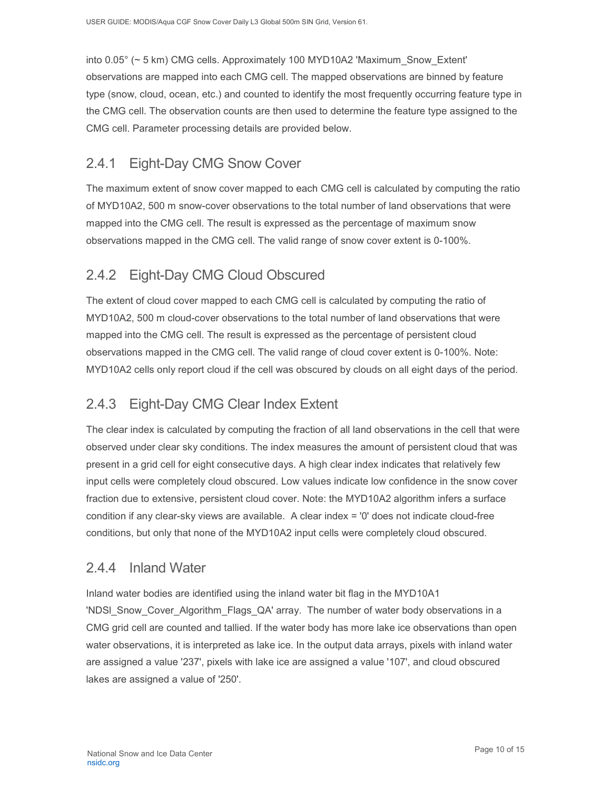into 0.05° (~ 5 km) CMG cells. Approximately 100 MYD10A2 'Maximum\_Snow\_Extent' observations are mapped into each CMG cell. The mapped observations are binned by feature type (snow, cloud, ocean, etc.) and counted to identify the most frequently occurring feature type in the CMG cell. The observation counts are then used to determine the feature type assigned to the CMG cell. Parameter processing details are provided below.

## <span id="page-10-0"></span>2.4.1 Eight-Day CMG Snow Cover

The maximum extent of snow cover mapped to each CMG cell is calculated by computing the ratio of MYD10A2, 500 m snow-cover observations to the total number of land observations that were mapped into the CMG cell. The result is expressed as the percentage of maximum snow observations mapped in the CMG cell. The valid range of snow cover extent is 0-100%.

## <span id="page-10-1"></span>2.4.2 Eight-Day CMG Cloud Obscured

The extent of cloud cover mapped to each CMG cell is calculated by computing the ratio of MYD10A2, 500 m cloud-cover observations to the total number of land observations that were mapped into the CMG cell. The result is expressed as the percentage of persistent cloud observations mapped in the CMG cell. The valid range of cloud cover extent is 0-100%. Note: MYD10A2 cells only report cloud if the cell was obscured by clouds on all eight days of the period.

## <span id="page-10-2"></span>2.4.3 Eight-Day CMG Clear Index Extent

The clear index is calculated by computing the fraction of all land observations in the cell that were observed under clear sky conditions. The index measures the amount of persistent cloud that was present in a grid cell for eight consecutive days. A high clear index indicates that relatively few input cells were completely cloud obscured. Low values indicate low confidence in the snow cover fraction due to extensive, persistent cloud cover. Note: the MYD10A2 algorithm infers a surface condition if any clear-sky views are available. A clear index = '0' does not indicate cloud-free conditions, but only that none of the MYD10A2 input cells were completely cloud obscured.

### <span id="page-10-3"></span>2.4.4 Inland Water

Inland water bodies are identified using the inland water bit flag in the MYD10A1 'NDSI Snow Cover Algorithm Flags QA' array. The number of water body observations in a CMG grid cell are counted and tallied. If the water body has more lake ice observations than open water observations, it is interpreted as lake ice. In the output data arrays, pixels with inland water are assigned a value '237', pixels with lake ice are assigned a value '107', and cloud obscured lakes are assigned a value of '250'.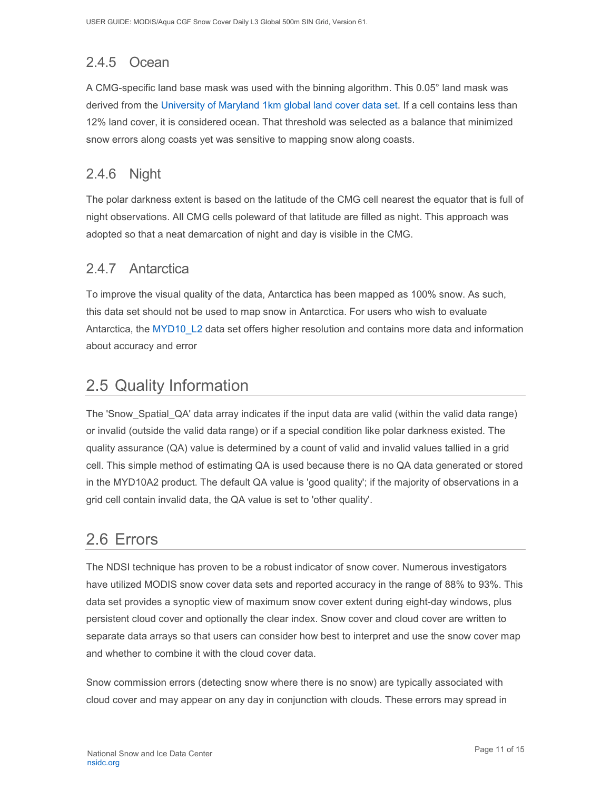# <span id="page-11-0"></span>2.4.5 Ocean

A CMG-specific land base mask was used with the binning algorithm. This 0.05° land mask was derived from the [University of Maryland 1km global land cover data set.](https://doi.org/10.3334/ORNLDAAC/969) If a cell contains less than 12% land cover, it is considered ocean. That threshold was selected as a balance that minimized snow errors along coasts yet was sensitive to mapping snow along coasts.

### <span id="page-11-1"></span>2.4.6 Night

The polar darkness extent is based on the latitude of the CMG cell nearest the equator that is full of night observations. All CMG cells poleward of that latitude are filled as night. This approach was adopted so that a neat demarcation of night and day is visible in the CMG.

### <span id="page-11-2"></span>2.4.7 Antarctica

To improve the visual quality of the data, Antarctica has been mapped as 100% snow. As such, this data set should not be used to map snow in Antarctica. For users who wish to evaluate Antarctica, the [MYD10\\_L2](https://nsidc.org/nsidc/data/myd10_L2) data set offers higher resolution and contains more data and information about accuracy and error

## <span id="page-11-3"></span>2.5 Quality Information

The 'Snow\_Spatial\_QA' data array indicates if the input data are valid (within the valid data range) or invalid (outside the valid data range) or if a special condition like polar darkness existed. The quality assurance (QA) value is determined by a count of valid and invalid values tallied in a grid cell. This simple method of estimating QA is used because there is no QA data generated or stored in the MYD10A2 product. The default QA value is 'good quality'; if the majority of observations in a grid cell contain invalid data, the QA value is set to 'other quality'.

## <span id="page-11-4"></span>2.6 Errors

The NDSI technique has proven to be a robust indicator of snow cover. Numerous investigators have utilized MODIS snow cover data sets and reported accuracy in the range of 88% to 93%. This data set provides a synoptic view of maximum snow cover extent during eight-day windows, plus persistent cloud cover and optionally the clear index. Snow cover and cloud cover are written to separate data arrays so that users can consider how best to interpret and use the snow cover map and whether to combine it with the cloud cover data.

Snow commission errors (detecting snow where there is no snow) are typically associated with cloud cover and may appear on any day in conjunction with clouds. These errors may spread in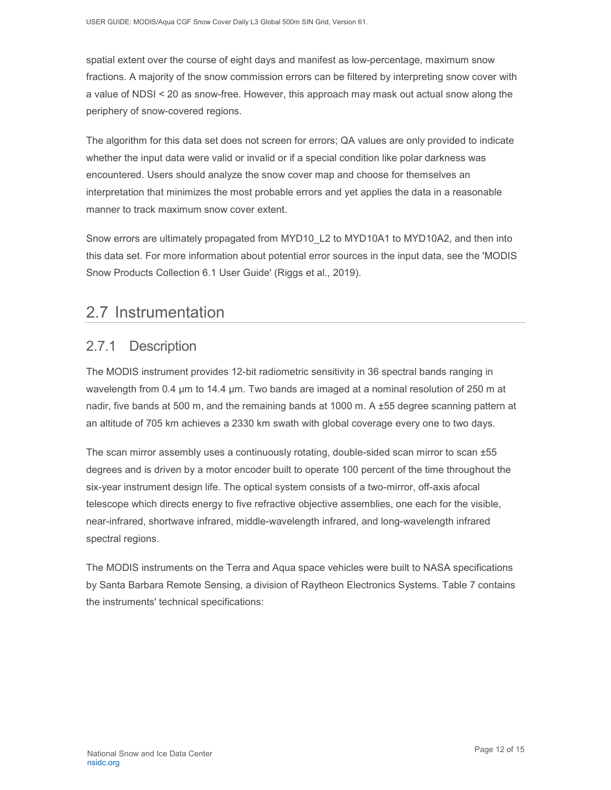spatial extent over the course of eight days and manifest as low-percentage, maximum snow fractions. A majority of the snow commission errors can be filtered by interpreting snow cover with a value of NDSI < 20 as snow-free. However, this approach may mask out actual snow along the periphery of snow-covered regions.

The algorithm for this data set does not screen for errors; QA values are only provided to indicate whether the input data were valid or invalid or if a special condition like polar darkness was encountered. Users should analyze the snow cover map and choose for themselves an interpretation that minimizes the most probable errors and yet applies the data in a reasonable manner to track maximum snow cover extent.

Snow errors are ultimately propagated from MYD10 L2 to MYD10A1 to MYD10A2, and then into this data set. For more information about potential error sources in the input data, see the 'MODIS Snow Products Collection 6.1 User Guide' (Riggs et al., 2019).

## <span id="page-12-0"></span>2.7 Instrumentation

### <span id="page-12-1"></span>2.7.1 Description

The MODIS instrument provides 12-bit radiometric sensitivity in 36 spectral bands ranging in wavelength from 0.4 µm to 14.4 µm. Two bands are imaged at a nominal resolution of 250 m at nadir, five bands at 500 m, and the remaining bands at 1000 m. A ±55 degree scanning pattern at an altitude of 705 km achieves a 2330 km swath with global coverage every one to two days.

The scan mirror assembly uses a continuously rotating, double-sided scan mirror to scan ±55 degrees and is driven by a motor encoder built to operate 100 percent of the time throughout the six-year instrument design life. The optical system consists of a two-mirror, off-axis afocal telescope which directs energy to five refractive objective assemblies, one each for the visible, near-infrared, shortwave infrared, middle-wavelength infrared, and long-wavelength infrared spectral regions.

The MODIS instruments on the Terra and Aqua space vehicles were built to NASA specifications by Santa Barbara Remote Sensing, a division of Raytheon Electronics Systems. Table 7 contains the instruments' technical specifications: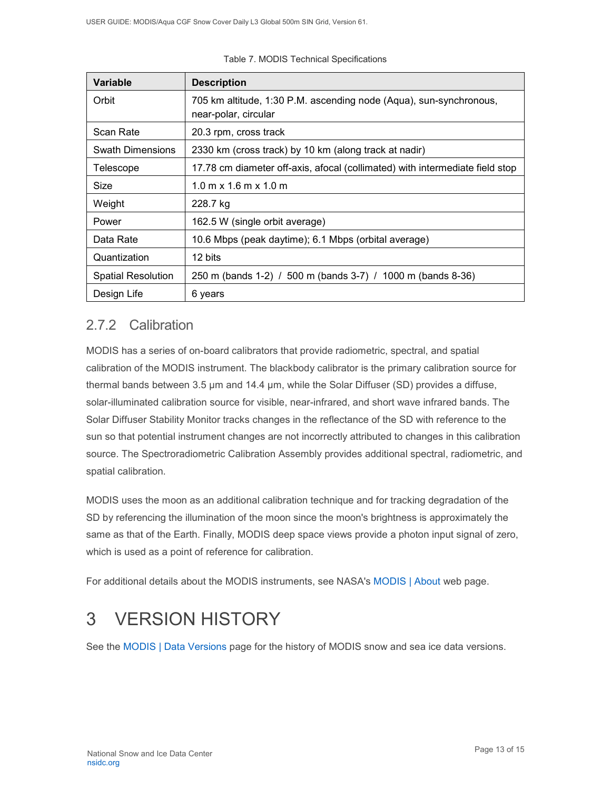| <b>Variable</b>           | <b>Description</b>                                                                         |  |  |
|---------------------------|--------------------------------------------------------------------------------------------|--|--|
| Orbit                     | 705 km altitude, 1:30 P.M. ascending node (Aqua), sun-synchronous,<br>near-polar, circular |  |  |
| Scan Rate                 | 20.3 rpm, cross track                                                                      |  |  |
| <b>Swath Dimensions</b>   | 2330 km (cross track) by 10 km (along track at nadir)                                      |  |  |
| Telescope                 | 17.78 cm diameter off-axis, afocal (collimated) with intermediate field stop               |  |  |
| Size                      | $1.0 \text{ m} \times 1.6 \text{ m} \times 1.0 \text{ m}$                                  |  |  |
| Weight                    | 228.7 kg                                                                                   |  |  |
| Power                     | 162.5 W (single orbit average)                                                             |  |  |
| Data Rate                 | 10.6 Mbps (peak daytime); 6.1 Mbps (orbital average)                                       |  |  |
| Quantization              | 12 bits                                                                                    |  |  |
| <b>Spatial Resolution</b> | 250 m (bands 1-2) / 500 m (bands 3-7) / 1000 m (bands 8-36)                                |  |  |
| Design Life               | 6 years                                                                                    |  |  |

|  | Table 7. MODIS Technical Specifications |
|--|-----------------------------------------|
|  |                                         |

## <span id="page-13-0"></span>2.7.2 Calibration

MODIS has a series of on-board calibrators that provide radiometric, spectral, and spatial calibration of the MODIS instrument. The blackbody calibrator is the primary calibration source for thermal bands between 3.5 µm and 14.4 µm, while the Solar Diffuser (SD) provides a diffuse, solar-illuminated calibration source for visible, near-infrared, and short wave infrared bands. The Solar Diffuser Stability Monitor tracks changes in the reflectance of the SD with reference to the sun so that potential instrument changes are not incorrectly attributed to changes in this calibration source. The Spectroradiometric Calibration Assembly provides additional spectral, radiometric, and spatial calibration.

MODIS uses the moon as an additional calibration technique and for tracking degradation of the SD by referencing the illumination of the moon since the moon's brightness is approximately the same as that of the Earth. Finally, MODIS deep space views provide a photon input signal of zero, which is used as a point of reference for calibration.

For additional details about the MODIS instruments, see NASA's [MODIS | About](https://modis.gsfc.nasa.gov/about/) web page.

# <span id="page-13-1"></span>3 VERSION HISTORY

See the MODIS [| Data Versions](https://nsidc.org/data/modis/data_versions.html) page for the history of MODIS snow and sea ice data versions.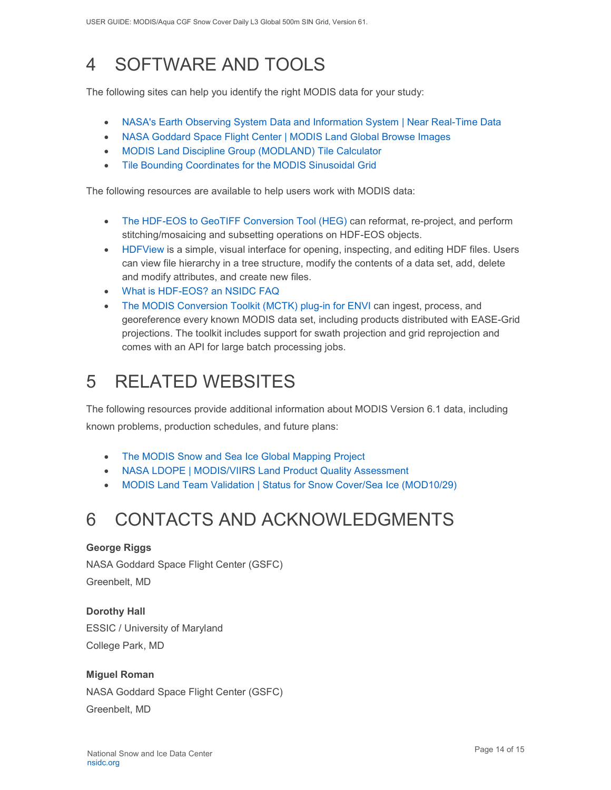# <span id="page-14-0"></span>4 SOFTWARE AND TOOLS

The following sites can help you identify the right MODIS data for your study:

- [NASA's Earth Observing System Data and Information System | Near Real-Time Data](http://earthdata.nasa.gov/data/near-real-time-data/rapid-response)
- [NASA Goddard Space Flight Center | MODIS Land Global Browse Images](https://landweb.modaps.eosdis.nasa.gov/cgi-bin/browse/browseMODIS.cgi)
- [MODIS Land Discipline Group \(MODLAND\) Tile Calculator](http://landweb.nascom.nasa.gov/cgi-bin/developer/tilemap.cgi)
- [Tile Bounding Coordinates for the MODIS Sinusoidal Grid](http://modis-land.gsfc.nasa.gov/pdf/sn_bound_10deg.txt)

The following resources are available to help users work with MODIS data:

- [The HDF-EOS to GeoTIFF Conversion Tool \(HEG\)](https://wiki.earthdata.nasa.gov/display/DAS/HEG%3A++HDF-EOS+to+GeoTIFF+Conversion+Tool) can reformat, re-project, and perform stitching/mosaicing and subsetting operations on HDF-EOS objects.
- [HDFView](https://www.hdfgroup.org/downloads/hdfview/) is a simple, visual interface for opening, inspecting, and editing HDF files. Users can view file hierarchy in a tree structure, modify the contents of a data set, add, delete and modify attributes, and create new files.
- [What is HDF-EOS? an NSIDC FAQ](https://nsidc.org/support/faq/what-hdf-eos)
- [The MODIS Conversion Toolkit \(MCTK\) plug-in for ENVI](https://github.com/dawhite/MCTK) can ingest, process, and georeference every known MODIS data set, including products distributed with EASE-Grid projections. The toolkit includes support for swath projection and grid reprojection and comes with an API for large batch processing jobs.

# <span id="page-14-1"></span>5 RELATED WEBSITES

The following resources provide additional information about MODIS Version 6.1 data, including known problems, production schedules, and future plans:

- [The MODIS Snow and Sea Ice Global Mapping Project](http://modis-snow-ice.gsfc.nasa.gov/)
- [NASA LDOPE | MODIS/VIIRS Land Product Quality Assessment](https://landweb.modaps.eosdis.nasa.gov/cgi-bin/QS/new/index.cgi)
- [MODIS Land Team Validation | Status for Snow Cover/Sea Ice \(MOD10/29\)](https://modis-land.gsfc.nasa.gov/ValStatus.php?ProductID=MOD10/29)

# <span id="page-14-2"></span>6 CONTACTS AND ACKNOWLEDGMENTS

#### **George Riggs**

NASA Goddard Space Flight Center (GSFC) Greenbelt, MD

**Dorothy Hall**  ESSIC / University of Maryland College Park, MD

#### **Miguel Roman**

NASA Goddard Space Flight Center (GSFC) Greenbelt, MD